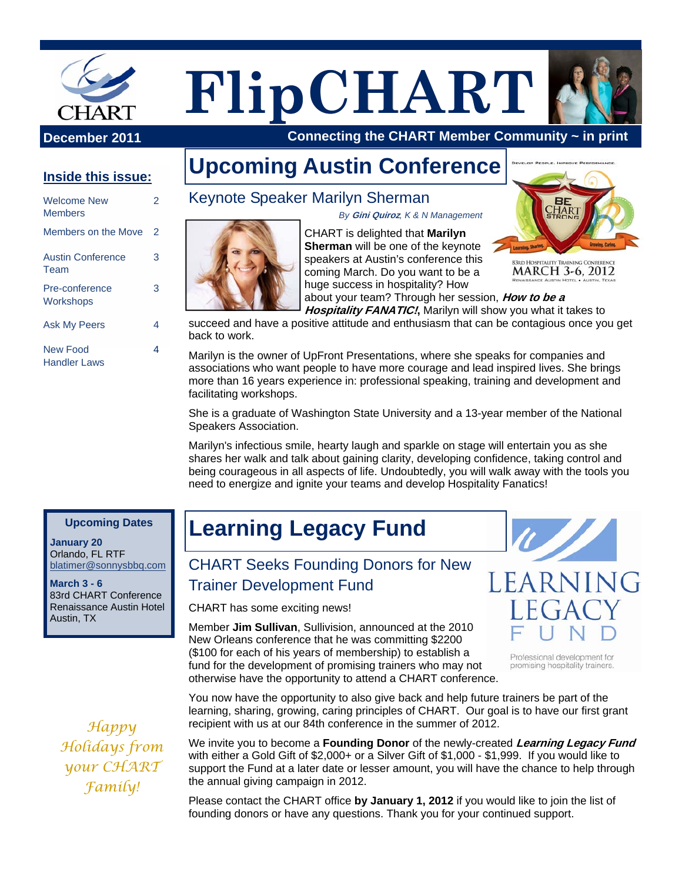

# **FlipCHART**



 **Connecting the CHART Member Community ~ in print**

# **Inside this issue:**

| Welcome New<br><b>Members</b>    | 2  |
|----------------------------------|----|
| Members on the Move              | 2  |
| <b>Austin Conference</b><br>Team | 3  |
| Pre-conference<br>Workshops      | 3  |
| <b>Ask My Peers</b>              | Δ. |
| New Food<br>Handler Laws         | Δ. |

**Upcoming Austin Conference** 

*By* **Gini Quiroz***, K & N Management* 



**83RD HOSPITALITY TRAINING MARCH 3-6, 2012** 

about your team? Through her session, **How to be a Hospitality FANATIC!,** Marilyn will show you what it takes to

succeed and have a positive attitude and enthusiasm that can be contagious once you get back to work.

Marilyn is the owner of UpFront Presentations, where she speaks for companies and associations who want people to have more courage and lead inspired lives. She brings more than 16 years experience in: professional speaking, training and development and facilitating workshops.

She is a graduate of Washington State University and a 13-year member of the National Speakers Association.

Marilyn's infectious smile, hearty laugh and sparkle on stage will entertain you as she shares her walk and talk about gaining clarity, developing confidence, taking control and being courageous in all aspects of life. Undoubtedly, you will walk away with the tools you need to energize and ignite your teams and develop Hospitality Fanatics!

### **Upcoming Dates**

**January 20**  Orlando, FL RTF blatimer@sonnysbbq.com

**March 3 - 6**  83rd CHART Conference Renaissance Austin Hotel Austin, TX

*Happy Holidays from your CHART Family!* 

# **Learning Legacy Fund**

CHART Seeks Founding Donors for New Trainer Development Fund

CHART has some exciting news!

Member **Jim Sullivan**, Sullivision, announced at the 2010 New Orleans conference that he was committing \$2200 (\$100 for each of his years of membership) to establish a fund for the development of promising trainers who may not otherwise have the opportunity to attend a CHART conference.



Professional development for promising hospitality trainers.

You now have the opportunity to also give back and help future trainers be part of the learning, sharing, growing, caring principles of CHART. Our goal is to have our first grant recipient with us at our 84th conference in the summer of 2012.

We invite you to become a **Founding Donor** of the newly-created **Learning Legacy Fund** with either a Gold Gift of \$2,000+ or a Silver Gift of \$1,000 - \$1,999. If you would like to support the Fund at a later date or lesser amount, you will have the chance to help through the annual giving campaign in 2012.

Please contact the CHART office **by January 1, 2012** if you would like to join the list of founding donors or have any questions. Thank you for your continued support.

# Keynote Speaker Marilyn Sherman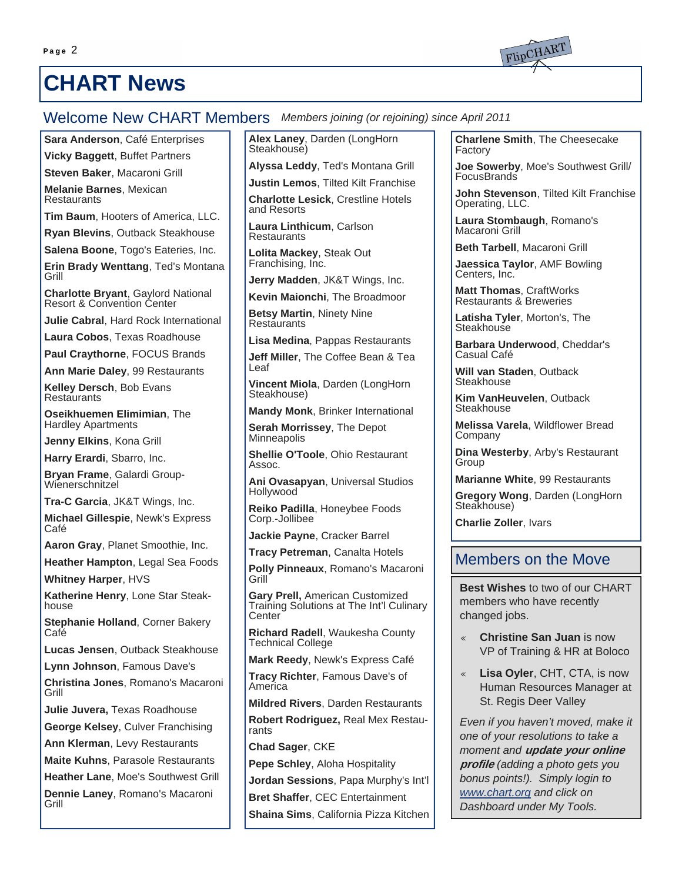

Welcome New CHART Members *Members joining (or rejoining) since April 2011* 

**Sara Anderson**, Café Enterprises

**Vicky Baggett**, Buffet Partners

**Steven Baker**, Macaroni Grill

**Melanie Barnes**, Mexican **Restaurants** 

**Tim Baum**, Hooters of America, LLC.

**Ryan Blevins**, Outback Steakhouse

**Salena Boone**, Togo's Eateries, Inc.

**Erin Brady Wenttang**, Ted's Montana Grill

**Charlotte Bryant**, Gaylord National Resort & Convention Center

**Julie Cabral**, Hard Rock International

**Laura Cobos**, Texas Roadhouse

**Paul Craythorne**, FOCUS Brands

**Ann Marie Daley**, 99 Restaurants

**Kelley Dersch**, Bob Evans **Restaurants** 

**Oseikhuemen Elimimian**, The Hardley Apartments

**Jenny Elkins**, Kona Grill

**Harry Erardi**, Sbarro, Inc.

**Bryan Frame**, Galardi Group-Wienerschnitzel

**Tra-C Garcia**, JK&T Wings, Inc.

**Michael Gillespie**, Newk's Express Café

**Aaron Gray**, Planet Smoothie, Inc.

**Heather Hampton**, Legal Sea Foods

**Whitney Harper**, HVS

**Katherine Henry**, Lone Star Steakhouse

**Stephanie Holland**, Corner Bakery Café

**Lucas Jensen**, Outback Steakhouse

**Lynn Johnson**, Famous Dave's

**Christina Jones**, Romano's Macaroni Grill

**Julie Juvera,** Texas Roadhouse

**George Kelsey**, Culver Franchising

**Ann Klerman**, Levy Restaurants

**Maite Kuhns**, Parasole Restaurants

**Heather Lane**, Moe's Southwest Grill

**Dennie Laney**, Romano's Macaroni Grill

**Alex Laney**, Darden (LongHorn<br>Steakhouse)

**Alyssa Leddy**, Ted's Montana Grill

**Justin Lemos**, Tilted Kilt Franchise

**Charlotte Lesick**, Crestline Hotels and Resorts

**Laura Linthicum**, Carlson **Restaurants** 

**Lolita Mackey**, Steak Out Franchising, Inc.

**Jerry Madden**, JK&T Wings, Inc.

**Kevin Maionchi**, The Broadmoor

**Betsy Martin**, Ninety Nine **Restaurants** 

**Lisa Medina**, Pappas Restaurants

**Jeff Miller**, The Coffee Bean & Tea Leaf

**Vincent Miola**, Darden (LongHorn Steakhouse)

**Mandy Monk**, Brinker International

**Serah Morrissey**, The Depot **Minneapolis** 

**Shellie O'Toole**, Ohio Restaurant Assoc.

**Ani Ovasapyan**, Universal Studios Hollywood

**Reiko Padilla**, Honeybee Foods Corp.-Jollibee

**Jackie Payne**, Cracker Barrel

**Tracy Petreman**, Canalta Hotels

**Polly Pinneaux**, Romano's Macaroni Grill

**Gary Prell,** American Customized Training Solutions at The Int'l Culinary **Center** 

**Richard Radell**, Waukesha County Technical College

**Mark Reedy**, Newk's Express Café

**Tracy Richter**, Famous Dave's of America

**Mildred Rivers**, Darden Restaurants

**Robert Rodriguez,** Real Mex Restaurants

**Chad Sager**, CKE

**Pepe Schley**, Aloha Hospitality

**Jordan Sessions**, Papa Murphy's Int'l

**Bret Shaffer**, CEC Entertainment

**Shaina Sims**, California Pizza Kitchen

**Charlene Smith**, The Cheesecake Factory

**Joe Sowerby**, Moe's Southwest Grill/ **FocusBrands** 

**John Stevenson**, Tilted Kilt Franchise Operating, LLC.

**Laura Stombaugh**, Romano's Macaroni Grill

**Beth Tarbell**, Macaroni Grill

**Jaessica Taylor**, AMF Bowling Centers, Inc.

**Matt Thomas**, CraftWorks Restaurants & Breweries

**Latisha Tyler**, Morton's, The **Steakhouse** 

**Barbara Underwood**, Cheddar's Casual Café

**Will van Staden**, Outback **Steakhouse** 

**Kim VanHeuvelen**, Outback **Steakhouse** 

**Melissa Varela**, Wildflower Bread Company

**Dina Westerby**, Arby's Restaurant Group

**Marianne White**, 99 Restaurants

**Gregory Wong**, Darden (LongHorn<br>Steakhouse)

**Charlie Zoller**, Ivars

## Members on the Move

**Best Wishes** to two of our CHART members who have recently changed jobs.

- **Christine San Juan is now** VP of Training & HR at Boloco
- ♦ **Lisa Oyler**, CHT, CTA, is now Human Resources Manager at St. Regis Deer Valley

*Even if you haven't moved, make it one of your resolutions to take a moment and* **update your online profile** *(adding a photo gets you bonus points!). Simply login to www.chart.org and click on Dashboard under My Tools.* 

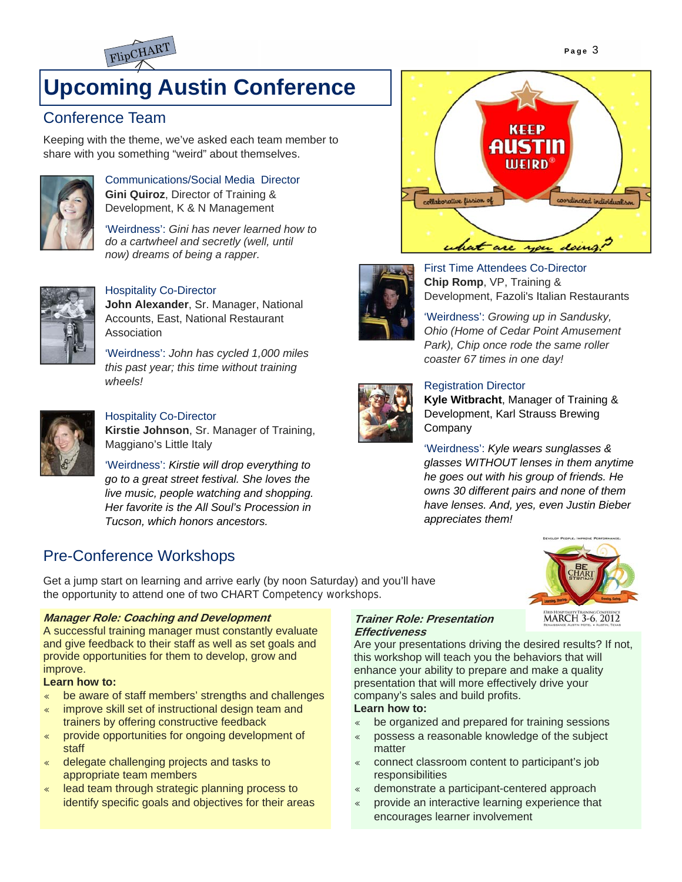

# **Upcoming Austin Conference**

# Conference Team

Keeping with the theme, we've asked each team member to share with you something "weird" about themselves.



Communications/Social Media Director **Gini Quiroz**, Director of Training & Development, K & N Management

'Weirdness': *Gini has never learned how to do a cartwheel and secretly (well, until now) dreams of being a rapper.*



#### Hospitality Co-Director

**John Alexander**, Sr. Manager, National Accounts, East, National Restaurant Association

'Weirdness': *John has cycled 1,000 miles this past year; this time without training wheels!*



Hospitality Co-Director

**Kirstie Johnson**, Sr. Manager of Training, Maggiano's Little Italy

'Weirdness': *Kirstie will drop everything to go to a great street festival. She loves the live music, people watching and shopping. Her favorite is the All Soul's Procession in Tucson, which honors ancestors.*

# Pre-Conference Workshops

Get a jump start on learning and arrive early (by noon Saturday) and you'll have the opportunity to attend one of two CHART Competency workshops.

#### **Manager Role: Coaching and Development**

A successful training manager must constantly evaluate and give feedback to their staff as well as set goals and provide opportunities for them to develop, grow and improve.

#### **Learn how to:**

- be aware of staff members' strengths and challenges
- improve skill set of instructional design team and trainers by offering constructive feedback
- provide opportunities for ongoing development of staff
- $\textdegree$  delegate challenging projects and tasks to appropriate team members
- « lead team through strategic planning process to identify specific goals and objectives for their areas





First Time Attendees Co-Director **Chip Romp**, VP, Training & Development, Fazoli's Italian Restaurants

'Weirdness': *Growing up in Sandusky, Ohio (Home of Cedar Point Amusement Park), Chip once rode the same roller coaster 67 times in one day!*



#### Registration Director

**Kyle Witbracht**, Manager of Training & Development, Karl Strauss Brewing **Company** 

'Weirdness': *Kyle wears sunglasses & glasses WITHOUT lenses in them anytime he goes out with his group of friends. He owns 30 different pairs and none of them have lenses. And, yes, even Justin Bieber appreciates them!*



#### **Trainer Role: Presentation Effectiveness**

Are your presentations driving the desired results? If not, this workshop will teach you the behaviors that will enhance your ability to prepare and make a quality presentation that will more effectively drive your company's sales and build profits. **Learn how to:** 

- $\bullet$  be organized and prepared for training sessions
- possess a reasonable knowledge of the subject matter
- « connect classroom content to participant's job responsibilities
- « demonstrate a participant-centered approach
- provide an interactive learning experience that encourages learner involvement